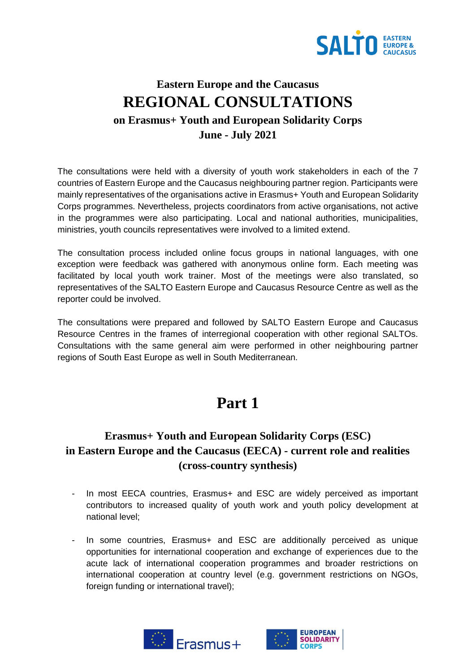

## **Eastern Europe and the Caucasus REGIONAL CONSULTATIONS on Erasmus+ Youth and European Solidarity Corps June - July 2021**

The consultations were held with a diversity of youth work stakeholders in each of the 7 countries of Eastern Europe and the Caucasus neighbouring partner region. Participants were mainly representatives of the organisations active in Erasmus+ Youth and European Solidarity Corps programmes. Nevertheless, projects coordinators from active organisations, not active in the programmes were also participating. Local and national authorities, municipalities, ministries, youth councils representatives were involved to a limited extend.

The consultation process included online focus groups in national languages, with one exception were feedback was gathered with anonymous online form. Each meeting was facilitated by local youth work trainer. Most of the meetings were also translated, so representatives of the SALTO Eastern Europe and Caucasus Resource Centre as well as the reporter could be involved.

The consultations were prepared and followed by SALTO Eastern Europe and Caucasus Resource Centres in the frames of interregional cooperation with other regional SALTOs. Consultations with the same general aim were performed in other neighbouring partner regions of South East Europe as well in South Mediterranean.

# **Part 1**

### **Erasmus+ Youth and European Solidarity Corps (ESC) in Eastern Europe and the Caucasus (EECA) - current role and realities (cross-country synthesis)**

- In most EECA countries, Erasmus+ and ESC are widely perceived as important contributors to increased quality of youth work and youth policy development at national level;
- In some countries, Erasmus+ and ESC are additionally perceived as unique opportunities for international cooperation and exchange of experiences due to the acute lack of international cooperation programmes and broader restrictions on international cooperation at country level (e.g. government restrictions on NGOs, foreign funding or international travel);



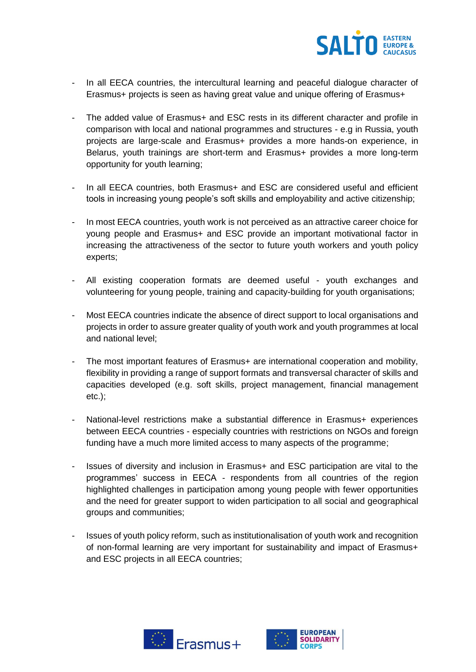

- In all EECA countries, the intercultural learning and peaceful dialogue character of Erasmus+ projects is seen as having great value and unique offering of Erasmus+
- The added value of Erasmus+ and ESC rests in its different character and profile in comparison with local and national programmes and structures - e.g in Russia, youth projects are large-scale and Erasmus+ provides a more hands-on experience, in Belarus, youth trainings are short-term and Erasmus+ provides a more long-term opportunity for youth learning;
- In all EECA countries, both Erasmus+ and ESC are considered useful and efficient tools in increasing young people's soft skills and employability and active citizenship;
- In most EECA countries, youth work is not perceived as an attractive career choice for young people and Erasmus+ and ESC provide an important motivational factor in increasing the attractiveness of the sector to future youth workers and youth policy experts;
- All existing cooperation formats are deemed useful youth exchanges and volunteering for young people, training and capacity-building for youth organisations;
- Most EECA countries indicate the absence of direct support to local organisations and projects in order to assure greater quality of youth work and youth programmes at local and national level;
- The most important features of Erasmus+ are international cooperation and mobility, flexibility in providing a range of support formats and transversal character of skills and capacities developed (e.g. soft skills, project management, financial management etc.);
- National-level restrictions make a substantial difference in Erasmus+ experiences between EECA countries - especially countries with restrictions on NGOs and foreign funding have a much more limited access to many aspects of the programme;
- Issues of diversity and inclusion in Erasmus+ and ESC participation are vital to the programmes' success in EECA - respondents from all countries of the region highlighted challenges in participation among young people with fewer opportunities and the need for greater support to widen participation to all social and geographical groups and communities;
- Issues of youth policy reform, such as institutionalisation of youth work and recognition of non-formal learning are very important for sustainability and impact of Erasmus+ and ESC projects in all EECA countries;



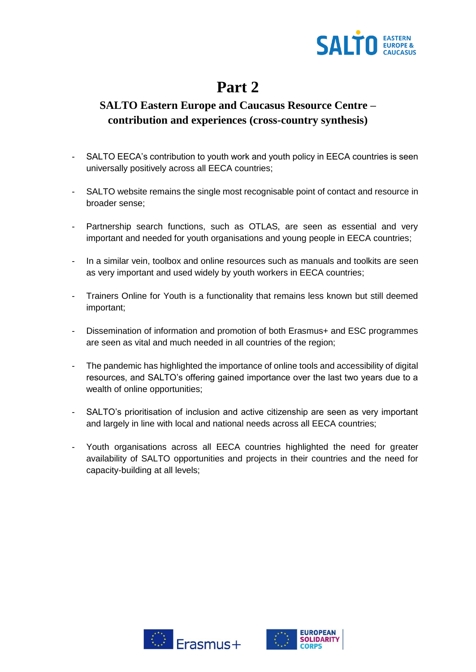

# **Part 2**

## **SALTO Eastern Europe and Caucasus Resource Centre – contribution and experiences (cross-country synthesis)**

- SALTO EECA's contribution to youth work and youth policy in EECA countries is seen universally positively across all EECA countries;
- SALTO website remains the single most recognisable point of contact and resource in broader sense;
- Partnership search functions, such as OTLAS, are seen as essential and very important and needed for youth organisations and young people in EECA countries;
- In a similar vein, toolbox and online resources such as manuals and toolkits are seen as very important and used widely by youth workers in EECA countries;
- Trainers Online for Youth is a functionality that remains less known but still deemed important;
- Dissemination of information and promotion of both Erasmus+ and ESC programmes are seen as vital and much needed in all countries of the region;
- The pandemic has highlighted the importance of online tools and accessibility of digital resources, and SALTO's offering gained importance over the last two years due to a wealth of online opportunities;
- SALTO's prioritisation of inclusion and active citizenship are seen as very important and largely in line with local and national needs across all EECA countries;
- Youth organisations across all EECA countries highlighted the need for greater availability of SALTO opportunities and projects in their countries and the need for capacity-building at all levels;



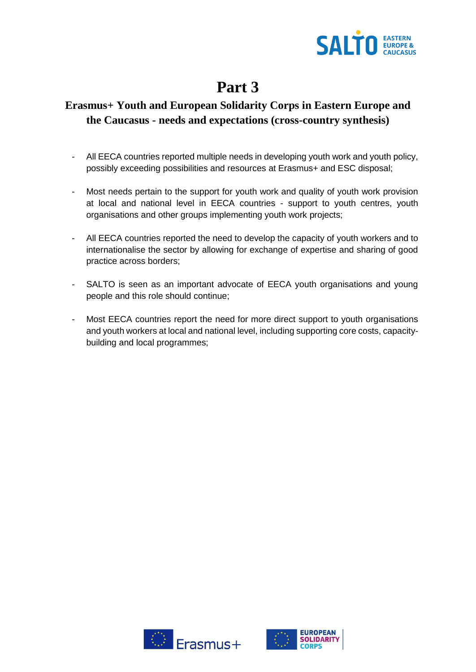

# **Part 3**

### **Erasmus+ Youth and European Solidarity Corps in Eastern Europe and the Caucasus - needs and expectations (cross-country synthesis)**

- All EECA countries reported multiple needs in developing youth work and youth policy, possibly exceeding possibilities and resources at Erasmus+ and ESC disposal;
- Most needs pertain to the support for youth work and quality of youth work provision at local and national level in EECA countries - support to youth centres, youth organisations and other groups implementing youth work projects;
- All EECA countries reported the need to develop the capacity of youth workers and to internationalise the sector by allowing for exchange of expertise and sharing of good practice across borders;
- SALTO is seen as an important advocate of EECA youth organisations and young people and this role should continue;
- Most EECA countries report the need for more direct support to youth organisations and youth workers at local and national level, including supporting core costs, capacitybuilding and local programmes;



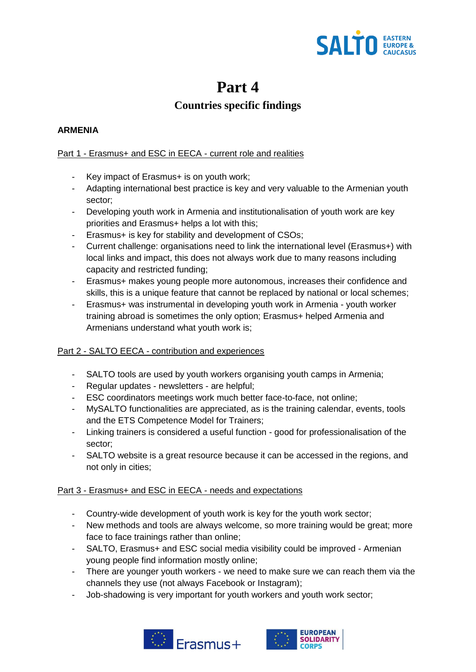

## **Part 4**

## **Countries specific findings**

#### **ARMENIA**

#### Part 1 - Erasmus+ and ESC in EECA - current role and realities

- Key impact of Erasmus+ is on youth work;
- Adapting international best practice is key and very valuable to the Armenian youth sector;
- Developing youth work in Armenia and institutionalisation of youth work are key priorities and Erasmus+ helps a lot with this;
- Erasmus+ is key for stability and development of CSOs;
- Current challenge: organisations need to link the international level (Erasmus+) with local links and impact, this does not always work due to many reasons including capacity and restricted funding;
- Erasmus+ makes young people more autonomous, increases their confidence and skills, this is a unique feature that cannot be replaced by national or local schemes;
- Erasmus+ was instrumental in developing youth work in Armenia youth worker training abroad is sometimes the only option; Erasmus+ helped Armenia and Armenians understand what youth work is;

#### Part 2 - SALTO EECA - contribution and experiences

- SALTO tools are used by youth workers organising youth camps in Armenia;
- Regular updates newsletters are helpful;
- ESC coordinators meetings work much better face-to-face, not online;
- MySALTO functionalities are appreciated, as is the training calendar, events, tools and the ETS Competence Model for Trainers;
- Linking trainers is considered a useful function good for professionalisation of the sector;
- SALTO website is a great resource because it can be accessed in the regions, and not only in cities;

- Country-wide development of youth work is key for the youth work sector;
- New methods and tools are always welcome, so more training would be great; more face to face trainings rather than online;
- SALTO, Erasmus+ and ESC social media visibility could be improved Armenian young people find information mostly online;
- There are younger youth workers we need to make sure we can reach them via the channels they use (not always Facebook or Instagram);
- Job-shadowing is very important for youth workers and youth work sector;



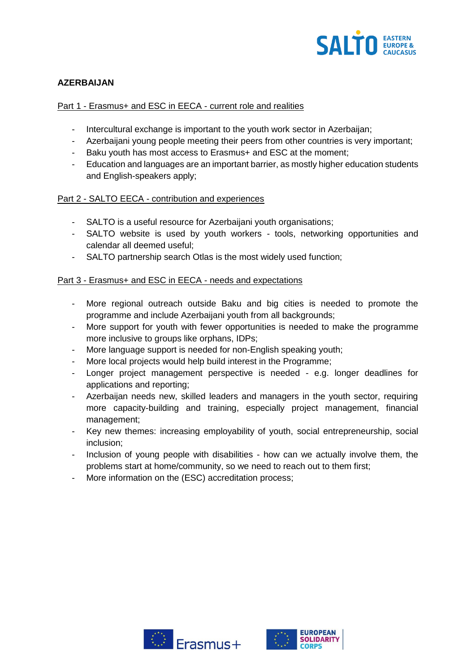

#### **AZERBAIJAN**

#### Part 1 - Erasmus+ and ESC in EECA - current role and realities

- Intercultural exchange is important to the youth work sector in Azerbaijan;
- Azerbaijani young people meeting their peers from other countries is very important;
- Baku youth has most access to Erasmus+ and ESC at the moment;
- Education and languages are an important barrier, as mostly higher education students and English-speakers apply;

#### Part 2 - SALTO EECA - contribution and experiences

- SALTO is a useful resource for Azerbaijani youth organisations;
- SALTO website is used by youth workers tools, networking opportunities and calendar all deemed useful;
- SALTO partnership search Otlas is the most widely used function;

- More regional outreach outside Baku and big cities is needed to promote the programme and include Azerbaijani youth from all backgrounds;
- More support for youth with fewer opportunities is needed to make the programme more inclusive to groups like orphans, IDPs;
- More language support is needed for non-English speaking youth;
- More local projects would help build interest in the Programme;
- Longer project management perspective is needed e.g. longer deadlines for applications and reporting;
- Azerbaijan needs new, skilled leaders and managers in the youth sector, requiring more capacity-building and training, especially project management, financial management;
- Key new themes: increasing employability of youth, social entrepreneurship, social inclusion;
- Inclusion of young people with disabilities how can we actually involve them, the problems start at home/community, so we need to reach out to them first;
- More information on the (ESC) accreditation process;



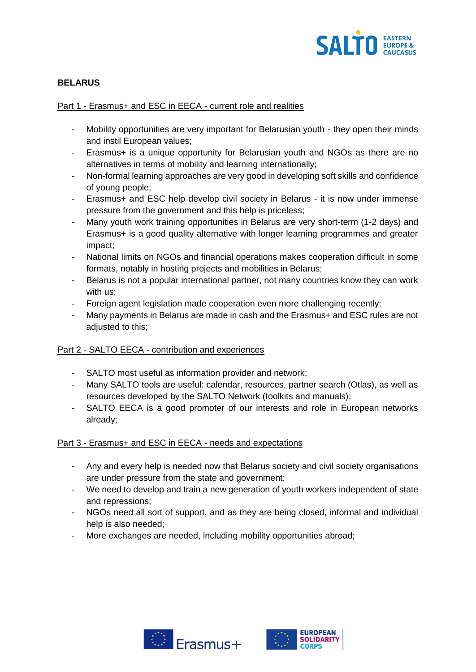

#### **BELARUS**

#### Part 1 - Erasmus+ and ESC in EECA - current role and realities

- Mobility opportunities are very important for Belarusian youth they open their minds and instil European values;
- Erasmus+ is a unique opportunity for Belarusian youth and NGOs as there are no alternatives in terms of mobility and learning internationally;
- Non-formal learning approaches are very good in developing soft skills and confidence of young people;
- Erasmus+ and ESC help develop civil society in Belarus it is now under immense pressure from the government and this help is priceless;
- Many youth work training opportunities in Belarus are very short-term (1-2 days) and Erasmus+ is a good quality alternative with longer learning programmes and greater impact;
- National limits on NGOs and financial operations makes cooperation difficult in some formats, notably in hosting projects and mobilities in Belarus;
- Belarus is not a popular international partner, not many countries know they can work with us;
- Foreign agent legislation made cooperation even more challenging recently;
- Many payments in Belarus are made in cash and the Erasmus+ and ESC rules are not adjusted to this;

#### Part 2 - SALTO EECA - contribution and experiences

- SALTO most useful as information provider and network;
- Many SALTO tools are useful: calendar, resources, partner search (Otlas), as well as resources developed by the SALTO Network (toolkits and manuals);
- SALTO EECA is a good promoter of our interests and role in European networks already;

- Any and every help is needed now that Belarus society and civil society organisations are under pressure from the state and government;
- We need to develop and train a new generation of youth workers independent of state and repressions;
- NGOs need all sort of support, and as they are being closed, informal and individual help is also needed;
- More exchanges are needed, including mobility opportunities abroad;



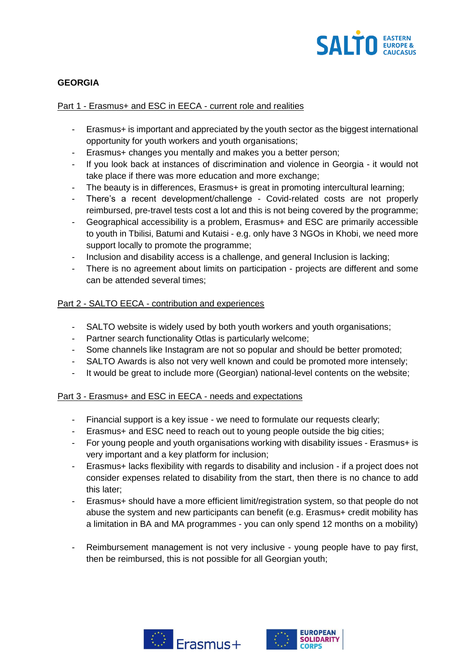

#### **GEORGIA**

#### Part 1 - Erasmus+ and ESC in EECA - current role and realities

- Erasmus+ is important and appreciated by the youth sector as the biggest international opportunity for youth workers and youth organisations;
- Erasmus+ changes you mentally and makes you a better person;
- If you look back at instances of discrimination and violence in Georgia it would not take place if there was more education and more exchange;
- The beauty is in differences, Erasmus+ is great in promoting intercultural learning;
- There's a recent development/challenge Covid-related costs are not properly reimbursed, pre-travel tests cost a lot and this is not being covered by the programme;
- Geographical accessibility is a problem, Erasmus+ and ESC are primarily accessible to youth in Tbilisi, Batumi and Kutaisi - e.g. only have 3 NGOs in Khobi, we need more support locally to promote the programme;
- Inclusion and disability access is a challenge, and general Inclusion is lacking;
- There is no agreement about limits on participation projects are different and some can be attended several times;

#### Part 2 - SALTO EECA - contribution and experiences

- SALTO website is widely used by both youth workers and youth organisations;
- Partner search functionality Otlas is particularly welcome;
- Some channels like Instagram are not so popular and should be better promoted;
- SALTO Awards is also not very well known and could be promoted more intensely;
- It would be great to include more (Georgian) national-level contents on the website;

- Financial support is a key issue we need to formulate our requests clearly;
- Erasmus+ and ESC need to reach out to young people outside the big cities;
- For young people and youth organisations working with disability issues Erasmus+ is very important and a key platform for inclusion;
- Erasmus+ lacks flexibility with regards to disability and inclusion if a project does not consider expenses related to disability from the start, then there is no chance to add this later;
- Erasmus+ should have a more efficient limit/registration system, so that people do not abuse the system and new participants can benefit (e.g. Erasmus+ credit mobility has a limitation in BA and MA programmes - you can only spend 12 months on a mobility)
- Reimbursement management is not very inclusive young people have to pay first, then be reimbursed, this is not possible for all Georgian youth;



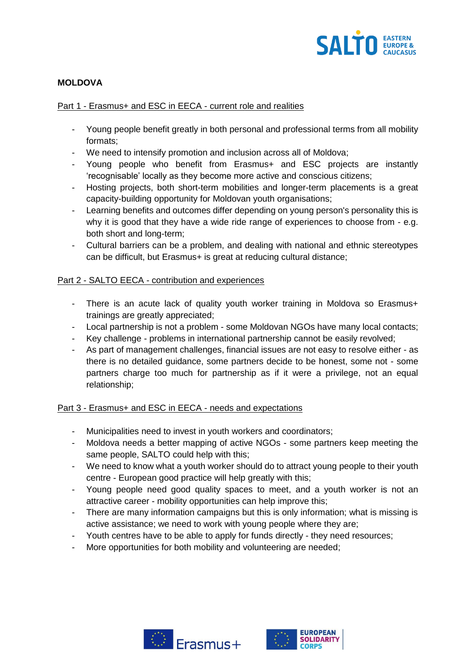

#### **MOLDOVA**

#### Part 1 - Erasmus+ and ESC in EECA - current role and realities

- Young people benefit greatly in both personal and professional terms from all mobility formats;
- We need to intensify promotion and inclusion across all of Moldova;
- Young people who benefit from Erasmus+ and ESC projects are instantly 'recognisable' locally as they become more active and conscious citizens;
- Hosting projects, both short-term mobilities and longer-term placements is a great capacity-building opportunity for Moldovan youth organisations;
- Learning benefits and outcomes differ depending on young person's personality this is why it is good that they have a wide ride range of experiences to choose from - e.g. both short and long-term;
- Cultural barriers can be a problem, and dealing with national and ethnic stereotypes can be difficult, but Erasmus+ is great at reducing cultural distance;

#### Part 2 - SALTO EECA - contribution and experiences

- There is an acute lack of quality youth worker training in Moldova so Erasmus+ trainings are greatly appreciated;
- Local partnership is not a problem some Moldovan NGOs have many local contacts;
- Key challenge problems in international partnership cannot be easily revolved;
- As part of management challenges, financial issues are not easy to resolve either as there is no detailed guidance, some partners decide to be honest, some not - some partners charge too much for partnership as if it were a privilege, not an equal relationship;

- Municipalities need to invest in youth workers and coordinators;
- Moldova needs a better mapping of active NGOs some partners keep meeting the same people, SALTO could help with this;
- We need to know what a youth worker should do to attract young people to their youth centre - European good practice will help greatly with this;
- Young people need good quality spaces to meet, and a youth worker is not an attractive career - mobility opportunities can help improve this;
- There are many information campaigns but this is only information; what is missing is active assistance; we need to work with young people where they are;
- Youth centres have to be able to apply for funds directly they need resources;
- More opportunities for both mobility and volunteering are needed;



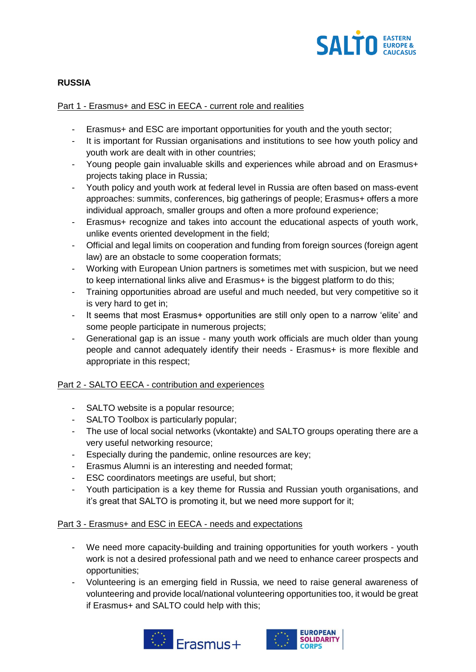

#### **RUSSIA**

#### Part 1 - Erasmus+ and ESC in EECA - current role and realities

- Erasmus+ and ESC are important opportunities for youth and the youth sector;
- It is important for Russian organisations and institutions to see how youth policy and youth work are dealt with in other countries;
- Young people gain invaluable skills and experiences while abroad and on Erasmus+ projects taking place in Russia;
- Youth policy and youth work at federal level in Russia are often based on mass-event approaches: summits, conferences, big gatherings of people; Erasmus+ offers a more individual approach, smaller groups and often a more profound experience;
- Erasmus+ recognize and takes into account the educational aspects of youth work, unlike events oriented development in the field;
- Official and legal limits on cooperation and funding from foreign sources (foreign agent law) are an obstacle to some cooperation formats;
- Working with European Union partners is sometimes met with suspicion, but we need to keep international links alive and Erasmus+ is the biggest platform to do this;
- Training opportunities abroad are useful and much needed, but very competitive so it is very hard to get in;
- It seems that most Erasmus+ opportunities are still only open to a narrow 'elite' and some people participate in numerous projects;
- Generational gap is an issue many youth work officials are much older than young people and cannot adequately identify their needs - Erasmus+ is more flexible and appropriate in this respect;

#### Part 2 - SALTO EECA - contribution and experiences

- SALTO website is a popular resource;
- SALTO Toolbox is particularly popular;
- The use of local social networks (vkontakte) and SALTO groups operating there are a very useful networking resource;
- Especially during the pandemic, online resources are key;
- Erasmus Alumni is an interesting and needed format;
- ESC coordinators meetings are useful, but short;
- Youth participation is a key theme for Russia and Russian youth organisations, and it's great that SALTO is promoting it, but we need more support for it;

- We need more capacity-building and training opportunities for youth workers youth work is not a desired professional path and we need to enhance career prospects and opportunities;
- Volunteering is an emerging field in Russia, we need to raise general awareness of volunteering and provide local/national volunteering opportunities too, it would be great if Erasmus+ and SALTO could help with this;



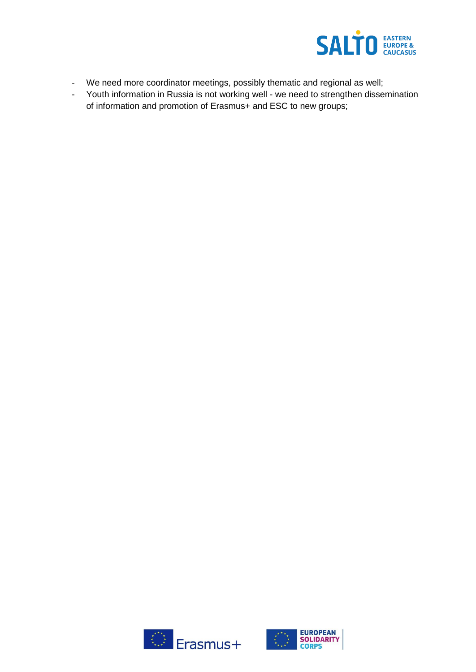

- We need more coordinator meetings, possibly thematic and regional as well;
- Youth information in Russia is not working well we need to strengthen dissemination of information and promotion of Erasmus+ and ESC to new groups;